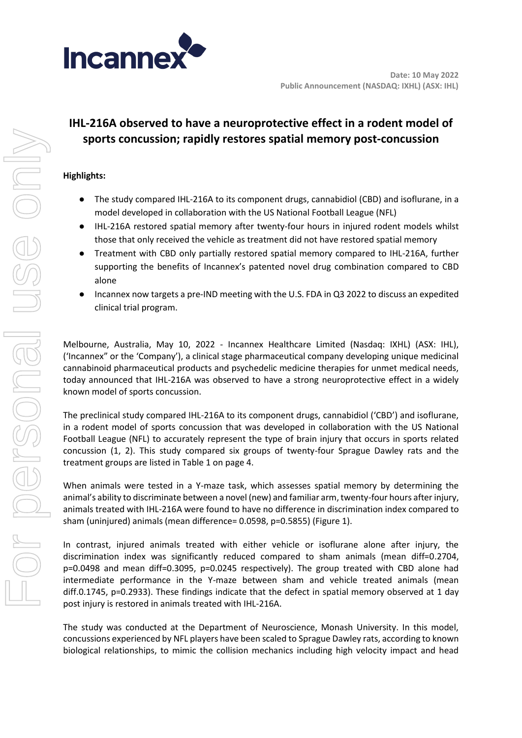

# **IHL-216A observed to have a neuroprotective effect in a rodent model of sports concussion; rapidly restores spatial memory post-concussion**

# **Highlights:**

- The study compared IHL-216A to its component drugs, cannabidiol (CBD) and isoflurane, in a model developed in collaboration with the US National Football League (NFL)
- IHL-216A restored spatial memory after twenty-four hours in injured rodent models whilst those that only received the vehicle as treatment did not have restored spatial memory
- Treatment with CBD only partially restored spatial memory compared to IHL-216A, further supporting the benefits of Incannex's patented novel drug combination compared to CBD alone
- Incannex now targets a pre-IND meeting with the U.S. FDA in Q3 2022 to discuss an expedited clinical trial program.

Melbourne, Australia, May 10, 2022 - Incannex Healthcare Limited (Nasdaq: IXHL) (ASX: IHL), ('Incannex" or the 'Company'), a clinical stage pharmaceutical company developing unique medicinal cannabinoid pharmaceutical products and psychedelic medicine therapies for unmet medical needs, today announced that IHL-216A was observed to have a strong neuroprotective effect in a widely known model of sports concussion.

The preclinical study compared IHL-216A to its component drugs, cannabidiol ('CBD') and isoflurane, in a rodent model of sports concussion that was developed in collaboration with the US National Football League (NFL) to accurately represent the type of brain injury that occurs in sports related concussion (1, 2). This study compared six groups of twenty-four Sprague Dawley rats and the treatment groups are listed in Table 1 on page 4.

When animals were tested in a Y-maze task, which assesses spatial memory by determining the animal's ability to discriminate between a novel (new) and familiar arm, twenty-four hours after injury, animals treated with IHL-216A were found to have no difference in discrimination index compared to sham (uninjured) animals (mean difference= 0.0598, p=0.5855) (Figure 1).

In contrast, injured animals treated with either vehicle or isoflurane alone after injury, the discrimination index was significantly reduced compared to sham animals (mean diff=0.2704, p=0.0498 and mean diff=0.3095, p=0.0245 respectively). The group treated with CBD alone had intermediate performance in the Y-maze between sham and vehicle treated animals (mean diff.0.1745, p=0.2933). These findings indicate that the defect in spatial memory observed at 1 day post injury is restored in animals treated with IHL-216A.

The study was conducted at the Department of Neuroscience, Monash University. In this model, concussions experienced by NFL players have been scaled to Sprague Dawley rats, according to known biological relationships, to mimic the collision mechanics including high velocity impact and head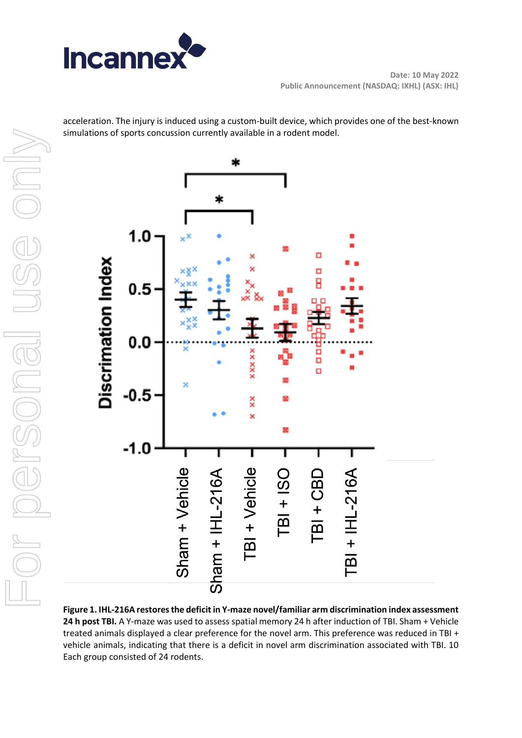

acceleration. The injury is induced using a custom-built device, which provides one of the best-known simulations of sports concussion currently available in a rodent model.



**Figure 1. IHL-216A restores the deficit in Y-maze novel/familiar arm discrimination index assessment 24 h post TBI.** A Y-maze was used to assess spatial memory 24 h after induction of TBI. Sham + Vehicle treated animals displayed a clear preference for the novel arm. This preference was reduced in TBI + vehicle animals, indicating that there is a deficit in novel arm discrimination associated with TBI. 10 Each group consisted of 24 rodents.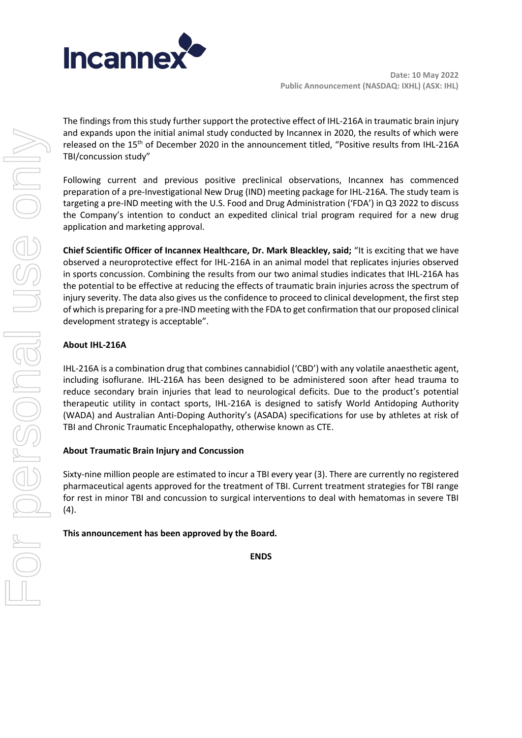

The findings from this study further support the protective effect of IHL-216A in traumatic brain injury and expands upon the initial animal study conducted by Incannex in 2020, the results of which were released on the 15<sup>th</sup> of December 2020 in the announcement titled, "Positive results from IHL-216A TBI/concussion study"

Following current and previous positive preclinical observations, Incannex has commenced preparation of a pre-Investigational New Drug (IND) meeting package for IHL-216A. The study team is targeting a pre-IND meeting with the U.S. Food and Drug Administration ('FDA') in Q3 2022 to discuss the Company's intention to conduct an expedited clinical trial program required for a new drug application and marketing approval.

**Chief Scientific Officer of Incannex Healthcare, Dr. Mark Bleackley, said;** "It is exciting that we have observed a neuroprotective effect for IHL-216A in an animal model that replicates injuries observed in sports concussion. Combining the results from our two animal studies indicates that IHL-216A has the potential to be effective at reducing the effects of traumatic brain injuries across the spectrum of injury severity. The data also gives us the confidence to proceed to clinical development, the first step of which is preparing for a pre-IND meeting with the FDA to get confirmation that our proposed clinical development strategy is acceptable".

# **About IHL-216A**

IHL-216A is a combination drug that combines cannabidiol ('CBD') with any volatile anaesthetic agent, including isoflurane. IHL-216A has been designed to be administered soon after head trauma to reduce secondary brain injuries that lead to neurological deficits. Due to the product's potential therapeutic utility in contact sports, IHL-216A is designed to satisfy World Antidoping Authority (WADA) and Australian Anti-Doping Authority's (ASADA) specifications for use by athletes at risk of TBI and Chronic Traumatic Encephalopathy, otherwise known as CTE.

## **About Traumatic Brain Injury and Concussion**

Sixty-nine million people are estimated to incur a TBI every year (3). There are currently no registered pharmaceutical agents approved for the treatment of TBI. Current treatment strategies for TBI range for rest in minor TBI and concussion to surgical interventions to deal with hematomas in severe TBI (4).

## **This announcement has been approved by the Board.**

**ENDS**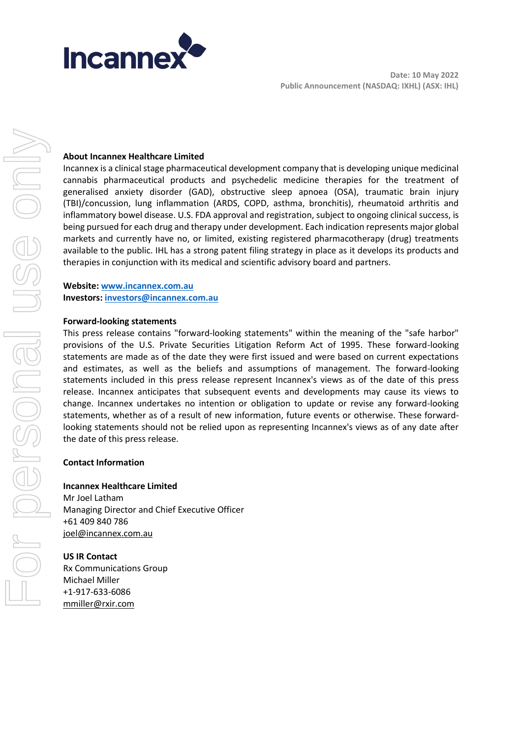

#### **About Incannex Healthcare Limited**

Incannex is a clinical stage pharmaceutical development company that is developing unique medicinal cannabis pharmaceutical products and psychedelic medicine therapies for the treatment of generalised anxiety disorder (GAD), obstructive sleep apnoea (OSA), traumatic brain injury (TBI)/concussion, lung inflammation (ARDS, COPD, asthma, bronchitis), rheumatoid arthritis and inflammatory bowel disease. U.S. FDA approval and registration, subject to ongoing clinical success, is being pursued for each drug and therapy under development. Each indication represents major global markets and currently have no, or limited, existing registered pharmacotherapy (drug) treatments available to the public. IHL has a strong patent filing strategy in place as it develops its products and therapies in conjunction with its medical and scientific advisory board and partners.

# **Website: [www.incannex.com.au](http://www.incannex.com.au/) Investors[: investors@incannex.com.au](mailto:investors@incannex.com.au)**

#### **Forward-looking statements**

This press release contains "forward-looking statements" within the meaning of the "safe harbor" provisions of the U.S. Private Securities Litigation Reform Act of 1995. These forward-looking statements are made as of the date they were first issued and were based on current expectations and estimates, as well as the beliefs and assumptions of management. The forward-looking statements included in this press release represent Incannex's views as of the date of this press release. Incannex anticipates that subsequent events and developments may cause its views to change. Incannex undertakes no intention or obligation to update or revise any forward-looking statements, whether as of a result of new information, future events or otherwise. These forwardlooking statements should not be relied upon as representing Incannex's views as of any date after the date of this press release.

#### **Contact Information**

**Incannex Healthcare Limited** Mr Joel Latham Managing Director and Chief Executive Officer +61 409 840 786 [joel@incannex.com.au](mailto:joel@impression.healthcare)

**US IR Contact** Rx Communications Group Michael Miller +1-917-633-6086 [mmiller@rxir.com](about:blank)